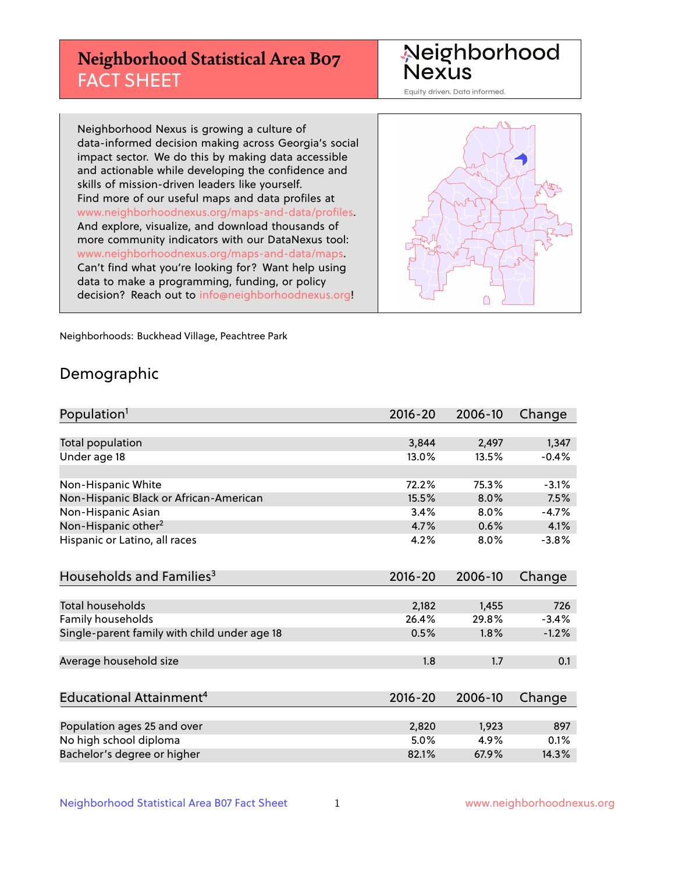## **Neighborhood Statistical Area B07** FACT SHEET

Neighborhood Nexus

Equity driven. Data informed.

Neighborhood Nexus is growing a culture of data-informed decision making across Georgia's social impact sector. We do this by making data accessible and actionable while developing the confidence and skills of mission-driven leaders like yourself. Find more of our useful maps and data profiles at www.neighborhoodnexus.org/maps-and-data/profiles. And explore, visualize, and download thousands of more community indicators with our DataNexus tool: www.neighborhoodnexus.org/maps-and-data/maps. Can't find what you're looking for? Want help using data to make a programming, funding, or policy decision? Reach out to [info@neighborhoodnexus.org!](mailto:info@neighborhoodnexus.org)



Neighborhoods: Buckhead Village, Peachtree Park

### Demographic

| Population <sup>1</sup>                      | 2016-20     | 2006-10 | Change  |
|----------------------------------------------|-------------|---------|---------|
|                                              |             |         |         |
| Total population                             | 3,844       | 2,497   | 1,347   |
| Under age 18                                 | 13.0%       | 13.5%   | $-0.4%$ |
|                                              |             |         |         |
| Non-Hispanic White                           | 72.2%       | 75.3%   | $-3.1%$ |
| Non-Hispanic Black or African-American       | 15.5%       | 8.0%    | 7.5%    |
| Non-Hispanic Asian                           | 3.4%        | 8.0%    | $-4.7%$ |
| Non-Hispanic other <sup>2</sup>              | 4.7%        | 0.6%    | 4.1%    |
| Hispanic or Latino, all races                | 4.2%        | 8.0%    | $-3.8%$ |
|                                              |             |         |         |
| Households and Families <sup>3</sup>         | $2016 - 20$ | 2006-10 | Change  |
|                                              |             |         |         |
| <b>Total households</b>                      | 2,182       | 1,455   | 726     |
| Family households                            | 26.4%       | 29.8%   | $-3.4%$ |
| Single-parent family with child under age 18 | 0.5%        | 1.8%    | $-1.2%$ |
|                                              |             |         |         |
| Average household size                       | 1.8         | 1.7     | 0.1     |
|                                              |             |         |         |
| <b>Educational Attainment<sup>4</sup></b>    | 2016-20     | 2006-10 | Change  |
|                                              |             |         |         |
| Population ages 25 and over                  | 2,820       | 1,923   | 897     |
| No high school diploma                       | 5.0%        | 4.9%    | 0.1%    |
| Bachelor's degree or higher                  | 82.1%       | 67.9%   | 14.3%   |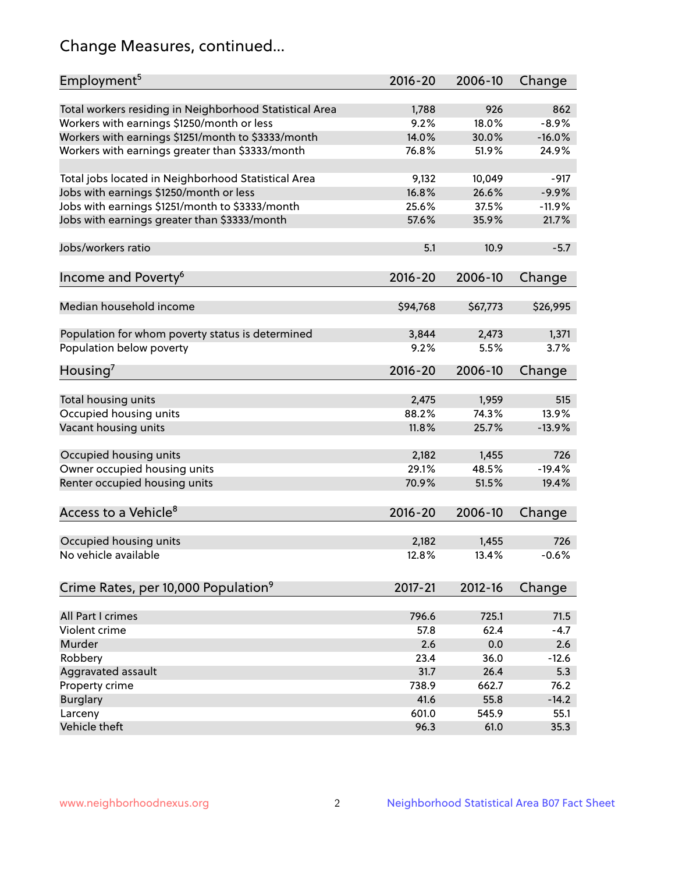## Change Measures, continued...

| Employment <sup>5</sup>                                                                               | $2016 - 20$   | 2006-10      | Change   |
|-------------------------------------------------------------------------------------------------------|---------------|--------------|----------|
|                                                                                                       |               |              | 862      |
| Total workers residing in Neighborhood Statistical Area                                               | 1,788<br>9.2% | 926<br>18.0% | $-8.9%$  |
| Workers with earnings \$1250/month or less                                                            | 14.0%         | 30.0%        | $-16.0%$ |
| Workers with earnings \$1251/month to \$3333/month<br>Workers with earnings greater than \$3333/month | 76.8%         | 51.9%        | 24.9%    |
|                                                                                                       |               |              |          |
| Total jobs located in Neighborhood Statistical Area                                                   | 9,132         | 10,049       | $-917$   |
| Jobs with earnings \$1250/month or less                                                               | 16.8%         | 26.6%        | $-9.9%$  |
| Jobs with earnings \$1251/month to \$3333/month                                                       | 25.6%         | 37.5%        | $-11.9%$ |
| Jobs with earnings greater than \$3333/month                                                          | 57.6%         | 35.9%        | 21.7%    |
|                                                                                                       |               |              |          |
| Jobs/workers ratio                                                                                    | 5.1           | 10.9         | $-5.7$   |
|                                                                                                       |               |              |          |
| Income and Poverty <sup>6</sup>                                                                       | 2016-20       | 2006-10      | Change   |
|                                                                                                       |               |              |          |
| Median household income                                                                               | \$94,768      | \$67,773     | \$26,995 |
|                                                                                                       |               |              |          |
| Population for whom poverty status is determined                                                      | 3,844         | 2,473        | 1,371    |
| Population below poverty                                                                              | 9.2%          | 5.5%         | 3.7%     |
|                                                                                                       |               |              |          |
| Housing <sup>7</sup>                                                                                  | $2016 - 20$   | 2006-10      | Change   |
|                                                                                                       |               |              |          |
| Total housing units                                                                                   | 2,475         | 1,959        | 515      |
| Occupied housing units                                                                                | 88.2%         | 74.3%        | 13.9%    |
| Vacant housing units                                                                                  | 11.8%         | 25.7%        | $-13.9%$ |
|                                                                                                       |               |              |          |
| Occupied housing units                                                                                | 2,182         | 1,455        | 726      |
| Owner occupied housing units                                                                          | 29.1%         | 48.5%        | $-19.4%$ |
| Renter occupied housing units                                                                         | 70.9%         | 51.5%        | 19.4%    |
|                                                                                                       |               |              |          |
| Access to a Vehicle <sup>8</sup>                                                                      | $2016 - 20$   | 2006-10      | Change   |
|                                                                                                       |               |              |          |
| Occupied housing units                                                                                | 2,182         | 1,455        | 726      |
| No vehicle available                                                                                  | 12.8%         | 13.4%        | $-0.6%$  |
|                                                                                                       |               |              |          |
| Crime Rates, per 10,000 Population <sup>9</sup>                                                       | 2017-21       | 2012-16      | Change   |
|                                                                                                       |               |              |          |
| All Part I crimes                                                                                     | 796.6         | 725.1        | 71.5     |
| Violent crime                                                                                         | 57.8          | 62.4         | $-4.7$   |
| Murder                                                                                                | 2.6           | 0.0          | 2.6      |
| Robbery                                                                                               | 23.4          | 36.0         | $-12.6$  |
| Aggravated assault                                                                                    | 31.7          | 26.4         | 5.3      |
| Property crime                                                                                        | 738.9         | 662.7        | 76.2     |
| <b>Burglary</b>                                                                                       | 41.6          | 55.8         | $-14.2$  |
| Larceny                                                                                               | 601.0         | 545.9        | 55.1     |
| Vehicle theft                                                                                         | 96.3          | 61.0         | 35.3     |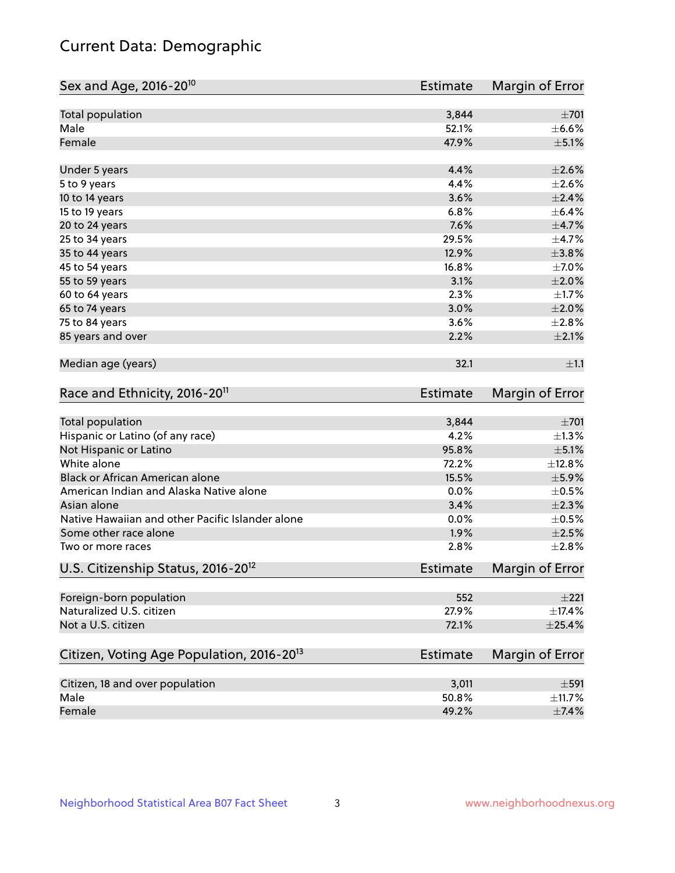## Current Data: Demographic

| Total population<br>3,844<br>$\pm 701$<br>Male<br>$\pm$ 6.6%<br>52.1%<br>Female<br>47.9%<br>$\pm$ 5.1%<br>4.4%<br>$\pm 2.6\%$<br>Under 5 years<br>4.4%<br>$\pm 2.6\%$<br>5 to 9 years<br>3.6%<br>$\pm 2.4\%$<br>10 to 14 years<br>6.8%<br>15 to 19 years<br>7.6%<br>$\pm$ 4.7%<br>20 to 24 years<br>29.5%<br>$\pm$ 4.7%<br>25 to 34 years<br>$\pm$ 3.8%<br>35 to 44 years<br>12.9%<br>16.8%<br>45 to 54 years<br>$\pm 2.0\%$<br>55 to 59 years<br>3.1%<br>2.3%<br>60 to 64 years<br>3.0%<br>$\pm 2.0\%$<br>65 to 74 years<br>75 to 84 years<br>3.6%<br>±2.8%<br>$\pm 2.1\%$<br>85 years and over<br>2.2%<br>Median age (years)<br>32.1<br>Race and Ethnicity, 2016-20 <sup>11</sup><br><b>Estimate</b><br>Total population<br>3,844<br>Hispanic or Latino (of any race)<br>4.2%<br>95.8%<br>$\pm$ 5.1%<br>Not Hispanic or Latino<br>White alone<br>72.2%<br>Black or African American alone<br>$\pm$ 5.9%<br>15.5%<br>American Indian and Alaska Native alone<br>0.0%<br>$\pm 2.3\%$<br>Asian alone<br>3.4%<br>Native Hawaiian and other Pacific Islander alone<br>0.0%<br>1.9%<br>$\pm 2.5\%$<br>Some other race alone<br>2.8%<br>±2.8%<br>Two or more races<br>U.S. Citizenship Status, 2016-20 <sup>12</sup><br><b>Estimate</b><br>Foreign-born population<br>552<br>Naturalized U.S. citizen<br>27.9%<br>Not a U.S. citizen<br>$\pm$ 25.4%<br>72.1%<br>Citizen, Voting Age Population, 2016-20 <sup>13</sup><br><b>Estimate</b><br>Margin of Error<br>Citizen, 18 and over population<br>3,011<br>$\pm$ 591<br>Male<br>50.8%<br>Female<br>49.2%<br>$\pm$ 7.4% | Sex and Age, 2016-20 <sup>10</sup> | <b>Estimate</b> | Margin of Error |
|-------------------------------------------------------------------------------------------------------------------------------------------------------------------------------------------------------------------------------------------------------------------------------------------------------------------------------------------------------------------------------------------------------------------------------------------------------------------------------------------------------------------------------------------------------------------------------------------------------------------------------------------------------------------------------------------------------------------------------------------------------------------------------------------------------------------------------------------------------------------------------------------------------------------------------------------------------------------------------------------------------------------------------------------------------------------------------------------------------------------------------------------------------------------------------------------------------------------------------------------------------------------------------------------------------------------------------------------------------------------------------------------------------------------------------------------------------------------------------------------------------------------------------------------------------------------|------------------------------------|-----------------|-----------------|
|                                                                                                                                                                                                                                                                                                                                                                                                                                                                                                                                                                                                                                                                                                                                                                                                                                                                                                                                                                                                                                                                                                                                                                                                                                                                                                                                                                                                                                                                                                                                                                   |                                    |                 |                 |
|                                                                                                                                                                                                                                                                                                                                                                                                                                                                                                                                                                                                                                                                                                                                                                                                                                                                                                                                                                                                                                                                                                                                                                                                                                                                                                                                                                                                                                                                                                                                                                   |                                    |                 |                 |
| $\pm$ 6.4%<br>$\pm$ 7.0%<br>$\pm 1.7\%$<br>±1.1<br>Margin of Error<br>$\pm 701$<br>$\pm 1.3\%$<br>±12.8%<br>$\pm$ 0.5%<br>$\pm$ 0.5%<br>Margin of Error<br>±221<br>$\pm$ 17.4%<br>±11.7%                                                                                                                                                                                                                                                                                                                                                                                                                                                                                                                                                                                                                                                                                                                                                                                                                                                                                                                                                                                                                                                                                                                                                                                                                                                                                                                                                                          |                                    |                 |                 |
|                                                                                                                                                                                                                                                                                                                                                                                                                                                                                                                                                                                                                                                                                                                                                                                                                                                                                                                                                                                                                                                                                                                                                                                                                                                                                                                                                                                                                                                                                                                                                                   |                                    |                 |                 |
|                                                                                                                                                                                                                                                                                                                                                                                                                                                                                                                                                                                                                                                                                                                                                                                                                                                                                                                                                                                                                                                                                                                                                                                                                                                                                                                                                                                                                                                                                                                                                                   |                                    |                 |                 |
|                                                                                                                                                                                                                                                                                                                                                                                                                                                                                                                                                                                                                                                                                                                                                                                                                                                                                                                                                                                                                                                                                                                                                                                                                                                                                                                                                                                                                                                                                                                                                                   |                                    |                 |                 |
|                                                                                                                                                                                                                                                                                                                                                                                                                                                                                                                                                                                                                                                                                                                                                                                                                                                                                                                                                                                                                                                                                                                                                                                                                                                                                                                                                                                                                                                                                                                                                                   |                                    |                 |                 |
|                                                                                                                                                                                                                                                                                                                                                                                                                                                                                                                                                                                                                                                                                                                                                                                                                                                                                                                                                                                                                                                                                                                                                                                                                                                                                                                                                                                                                                                                                                                                                                   |                                    |                 |                 |
|                                                                                                                                                                                                                                                                                                                                                                                                                                                                                                                                                                                                                                                                                                                                                                                                                                                                                                                                                                                                                                                                                                                                                                                                                                                                                                                                                                                                                                                                                                                                                                   |                                    |                 |                 |
|                                                                                                                                                                                                                                                                                                                                                                                                                                                                                                                                                                                                                                                                                                                                                                                                                                                                                                                                                                                                                                                                                                                                                                                                                                                                                                                                                                                                                                                                                                                                                                   |                                    |                 |                 |
|                                                                                                                                                                                                                                                                                                                                                                                                                                                                                                                                                                                                                                                                                                                                                                                                                                                                                                                                                                                                                                                                                                                                                                                                                                                                                                                                                                                                                                                                                                                                                                   |                                    |                 |                 |
|                                                                                                                                                                                                                                                                                                                                                                                                                                                                                                                                                                                                                                                                                                                                                                                                                                                                                                                                                                                                                                                                                                                                                                                                                                                                                                                                                                                                                                                                                                                                                                   |                                    |                 |                 |
|                                                                                                                                                                                                                                                                                                                                                                                                                                                                                                                                                                                                                                                                                                                                                                                                                                                                                                                                                                                                                                                                                                                                                                                                                                                                                                                                                                                                                                                                                                                                                                   |                                    |                 |                 |
|                                                                                                                                                                                                                                                                                                                                                                                                                                                                                                                                                                                                                                                                                                                                                                                                                                                                                                                                                                                                                                                                                                                                                                                                                                                                                                                                                                                                                                                                                                                                                                   |                                    |                 |                 |
|                                                                                                                                                                                                                                                                                                                                                                                                                                                                                                                                                                                                                                                                                                                                                                                                                                                                                                                                                                                                                                                                                                                                                                                                                                                                                                                                                                                                                                                                                                                                                                   |                                    |                 |                 |
|                                                                                                                                                                                                                                                                                                                                                                                                                                                                                                                                                                                                                                                                                                                                                                                                                                                                                                                                                                                                                                                                                                                                                                                                                                                                                                                                                                                                                                                                                                                                                                   |                                    |                 |                 |
|                                                                                                                                                                                                                                                                                                                                                                                                                                                                                                                                                                                                                                                                                                                                                                                                                                                                                                                                                                                                                                                                                                                                                                                                                                                                                                                                                                                                                                                                                                                                                                   |                                    |                 |                 |
|                                                                                                                                                                                                                                                                                                                                                                                                                                                                                                                                                                                                                                                                                                                                                                                                                                                                                                                                                                                                                                                                                                                                                                                                                                                                                                                                                                                                                                                                                                                                                                   |                                    |                 |                 |
|                                                                                                                                                                                                                                                                                                                                                                                                                                                                                                                                                                                                                                                                                                                                                                                                                                                                                                                                                                                                                                                                                                                                                                                                                                                                                                                                                                                                                                                                                                                                                                   |                                    |                 |                 |
|                                                                                                                                                                                                                                                                                                                                                                                                                                                                                                                                                                                                                                                                                                                                                                                                                                                                                                                                                                                                                                                                                                                                                                                                                                                                                                                                                                                                                                                                                                                                                                   |                                    |                 |                 |
|                                                                                                                                                                                                                                                                                                                                                                                                                                                                                                                                                                                                                                                                                                                                                                                                                                                                                                                                                                                                                                                                                                                                                                                                                                                                                                                                                                                                                                                                                                                                                                   |                                    |                 |                 |
|                                                                                                                                                                                                                                                                                                                                                                                                                                                                                                                                                                                                                                                                                                                                                                                                                                                                                                                                                                                                                                                                                                                                                                                                                                                                                                                                                                                                                                                                                                                                                                   |                                    |                 |                 |
|                                                                                                                                                                                                                                                                                                                                                                                                                                                                                                                                                                                                                                                                                                                                                                                                                                                                                                                                                                                                                                                                                                                                                                                                                                                                                                                                                                                                                                                                                                                                                                   |                                    |                 |                 |
|                                                                                                                                                                                                                                                                                                                                                                                                                                                                                                                                                                                                                                                                                                                                                                                                                                                                                                                                                                                                                                                                                                                                                                                                                                                                                                                                                                                                                                                                                                                                                                   |                                    |                 |                 |
|                                                                                                                                                                                                                                                                                                                                                                                                                                                                                                                                                                                                                                                                                                                                                                                                                                                                                                                                                                                                                                                                                                                                                                                                                                                                                                                                                                                                                                                                                                                                                                   |                                    |                 |                 |
|                                                                                                                                                                                                                                                                                                                                                                                                                                                                                                                                                                                                                                                                                                                                                                                                                                                                                                                                                                                                                                                                                                                                                                                                                                                                                                                                                                                                                                                                                                                                                                   |                                    |                 |                 |
|                                                                                                                                                                                                                                                                                                                                                                                                                                                                                                                                                                                                                                                                                                                                                                                                                                                                                                                                                                                                                                                                                                                                                                                                                                                                                                                                                                                                                                                                                                                                                                   |                                    |                 |                 |
|                                                                                                                                                                                                                                                                                                                                                                                                                                                                                                                                                                                                                                                                                                                                                                                                                                                                                                                                                                                                                                                                                                                                                                                                                                                                                                                                                                                                                                                                                                                                                                   |                                    |                 |                 |
|                                                                                                                                                                                                                                                                                                                                                                                                                                                                                                                                                                                                                                                                                                                                                                                                                                                                                                                                                                                                                                                                                                                                                                                                                                                                                                                                                                                                                                                                                                                                                                   |                                    |                 |                 |
|                                                                                                                                                                                                                                                                                                                                                                                                                                                                                                                                                                                                                                                                                                                                                                                                                                                                                                                                                                                                                                                                                                                                                                                                                                                                                                                                                                                                                                                                                                                                                                   |                                    |                 |                 |
|                                                                                                                                                                                                                                                                                                                                                                                                                                                                                                                                                                                                                                                                                                                                                                                                                                                                                                                                                                                                                                                                                                                                                                                                                                                                                                                                                                                                                                                                                                                                                                   |                                    |                 |                 |
|                                                                                                                                                                                                                                                                                                                                                                                                                                                                                                                                                                                                                                                                                                                                                                                                                                                                                                                                                                                                                                                                                                                                                                                                                                                                                                                                                                                                                                                                                                                                                                   |                                    |                 |                 |
|                                                                                                                                                                                                                                                                                                                                                                                                                                                                                                                                                                                                                                                                                                                                                                                                                                                                                                                                                                                                                                                                                                                                                                                                                                                                                                                                                                                                                                                                                                                                                                   |                                    |                 |                 |
|                                                                                                                                                                                                                                                                                                                                                                                                                                                                                                                                                                                                                                                                                                                                                                                                                                                                                                                                                                                                                                                                                                                                                                                                                                                                                                                                                                                                                                                                                                                                                                   |                                    |                 |                 |
|                                                                                                                                                                                                                                                                                                                                                                                                                                                                                                                                                                                                                                                                                                                                                                                                                                                                                                                                                                                                                                                                                                                                                                                                                                                                                                                                                                                                                                                                                                                                                                   |                                    |                 |                 |
|                                                                                                                                                                                                                                                                                                                                                                                                                                                                                                                                                                                                                                                                                                                                                                                                                                                                                                                                                                                                                                                                                                                                                                                                                                                                                                                                                                                                                                                                                                                                                                   |                                    |                 |                 |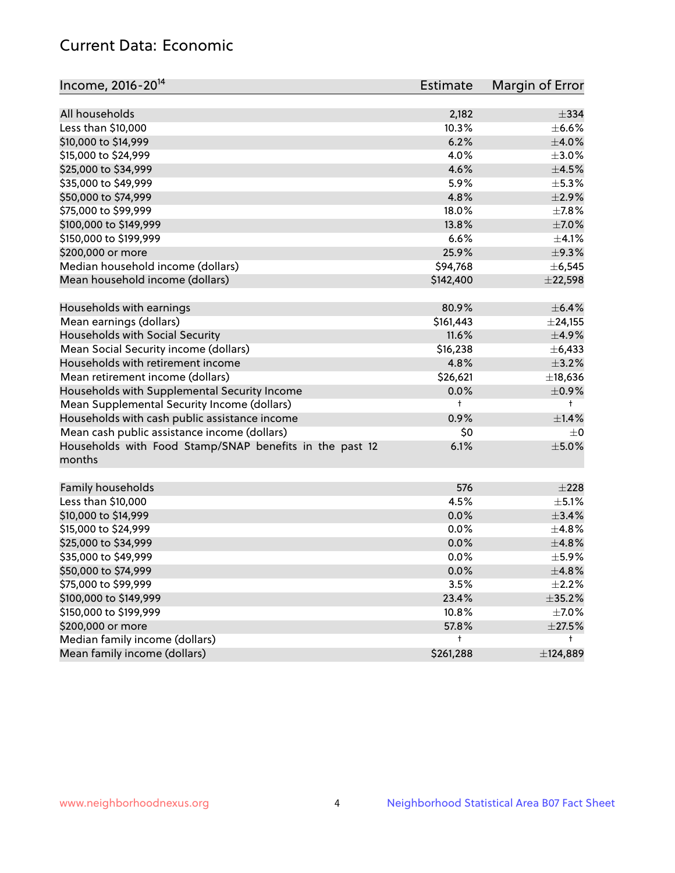## Current Data: Economic

| Income, 2016-20 <sup>14</sup>                           | Estimate       | Margin of Error          |
|---------------------------------------------------------|----------------|--------------------------|
| All households                                          |                | $\pm$ 334                |
|                                                         | 2,182<br>10.3% |                          |
| Less than \$10,000                                      |                | $\pm$ 6.6%<br>$\pm$ 4.0% |
| \$10,000 to \$14,999                                    | 6.2%           |                          |
| \$15,000 to \$24,999                                    | 4.0%           | $\pm 3.0\%$              |
| \$25,000 to \$34,999                                    | 4.6%           | $\pm 4.5\%$              |
| \$35,000 to \$49,999                                    | 5.9%           | $\pm$ 5.3%               |
| \$50,000 to \$74,999                                    | 4.8%           | $\pm 2.9\%$              |
| \$75,000 to \$99,999                                    | 18.0%          | $\pm$ 7.8%               |
| \$100,000 to \$149,999                                  | 13.8%          | $\pm$ 7.0%               |
| \$150,000 to \$199,999                                  | 6.6%           | $\pm 4.1\%$              |
| \$200,000 or more                                       | 25.9%          | $\pm$ 9.3%               |
| Median household income (dollars)                       | \$94,768       | ± 6,545                  |
| Mean household income (dollars)                         | \$142,400      | ±22,598                  |
| Households with earnings                                | 80.9%          | $\pm$ 6.4%               |
| Mean earnings (dollars)                                 | \$161,443      | $±$ 24,155               |
| Households with Social Security                         | 11.6%          | $\pm$ 4.9%               |
| Mean Social Security income (dollars)                   | \$16,238       | ±6,433                   |
| Households with retirement income                       | 4.8%           | ±3.2%                    |
| Mean retirement income (dollars)                        | \$26,621       | ±18,636                  |
| Households with Supplemental Security Income            | 0.0%           | $\pm$ 0.9%               |
| Mean Supplemental Security Income (dollars)             | t              | $^{\dagger}$             |
| Households with cash public assistance income           | 0.9%           | $\pm 1.4\%$              |
| Mean cash public assistance income (dollars)            | \$0            | $\pm 0$                  |
| Households with Food Stamp/SNAP benefits in the past 12 | 6.1%           | $\pm$ 5.0%               |
| months                                                  |                |                          |
| Family households                                       | 576            | $\pm 228$                |
| Less than \$10,000                                      | 4.5%           | $\pm$ 5.1%               |
| \$10,000 to \$14,999                                    | 0.0%           | ±3.4%                    |
|                                                         | 0.0%           | ±4.8%                    |
| \$15,000 to \$24,999                                    |                |                          |
| \$25,000 to \$34,999                                    | 0.0%           | ±4.8%                    |
| \$35,000 to \$49,999                                    | 0.0%           | $\pm$ 5.9%               |
| \$50,000 to \$74,999                                    | 0.0%           | ±4.8%                    |
| \$75,000 to \$99,999                                    | 3.5%           | $\pm 2.2\%$              |
| \$100,000 to \$149,999                                  | 23.4%          | $\pm$ 35.2%              |
| \$150,000 to \$199,999                                  | 10.8%          | $\pm$ 7.0%               |
| \$200,000 or more                                       | 57.8%          | $\pm 27.5\%$             |
| Median family income (dollars)                          | t              | t                        |
| Mean family income (dollars)                            | \$261,288      | ±124,889                 |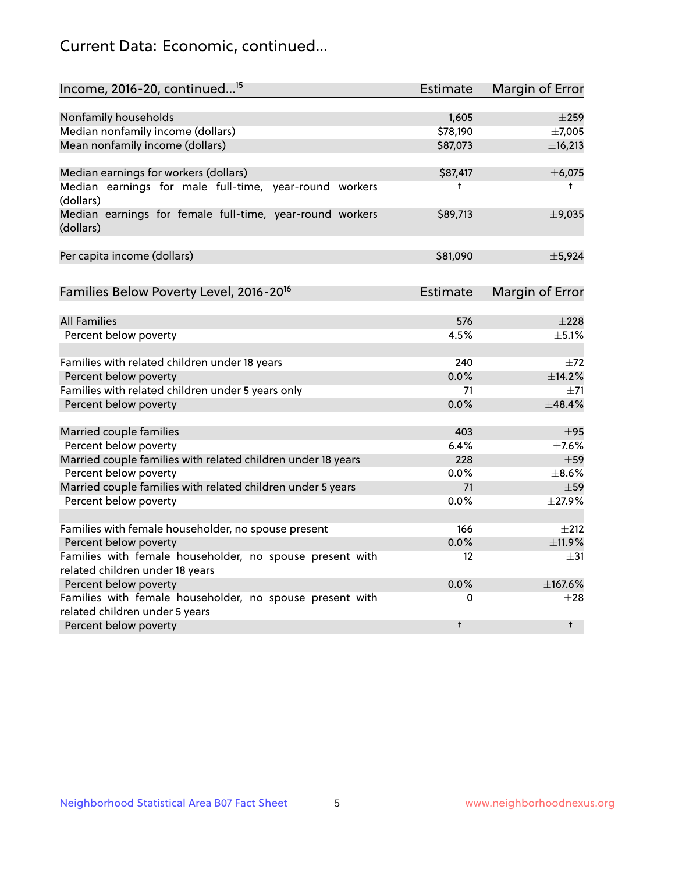## Current Data: Economic, continued...

| Income, 2016-20, continued <sup>15</sup>                                                   | <b>Estimate</b>   | Margin of Error        |
|--------------------------------------------------------------------------------------------|-------------------|------------------------|
|                                                                                            |                   |                        |
| Nonfamily households                                                                       | 1,605             | $\pm 259$              |
| Median nonfamily income (dollars)                                                          | \$78,190          | ±7,005                 |
| Mean nonfamily income (dollars)                                                            | \$87,073          | ±16,213                |
| Median earnings for workers (dollars)                                                      | \$87,417          | ±6,075                 |
| Median earnings for male full-time, year-round workers<br>(dollars)                        | $\ddagger$        | $^+$                   |
| Median earnings for female full-time, year-round workers<br>(dollars)                      | \$89,713          | $\pm$ 9,035            |
| Per capita income (dollars)                                                                | \$81,090          | ±5,924                 |
| Families Below Poverty Level, 2016-20 <sup>16</sup>                                        | <b>Estimate</b>   | <b>Margin of Error</b> |
|                                                                                            |                   |                        |
| <b>All Families</b>                                                                        | 576               | $\pm 228$              |
| Percent below poverty                                                                      | 4.5%              | ±5.1%                  |
| Families with related children under 18 years                                              | 240               | $\pm 72$               |
| Percent below poverty                                                                      | 0.0%              | ±14.2%                 |
| Families with related children under 5 years only                                          | 71                | $+71$                  |
| Percent below poverty                                                                      | 0.0%              | ±48.4%                 |
| Married couple families                                                                    | 403               | $\pm$ 95               |
| Percent below poverty                                                                      | 6.4%              | $\pm$ 7.6%             |
| Married couple families with related children under 18 years                               | 228               | $\pm$ 59               |
| Percent below poverty                                                                      | $0.0\%$           | $\pm$ 8.6%             |
| Married couple families with related children under 5 years                                | 71                | $\pm$ 59               |
| Percent below poverty                                                                      | 0.0%              | ±27.9%                 |
|                                                                                            |                   |                        |
| Families with female householder, no spouse present                                        | 166               | $\pm 212$              |
| Percent below poverty                                                                      | 0.0%              | ±11.9%                 |
| Families with female householder, no spouse present with                                   | $12 \overline{ }$ | $\pm$ 31               |
| related children under 18 years                                                            |                   |                        |
| Percent below poverty                                                                      | 0.0%              | $+167.6%$              |
| Families with female householder, no spouse present with<br>related children under 5 years | 0                 | $\pm 28$               |
| Percent below poverty                                                                      | $\ddagger$        | $\ddagger$             |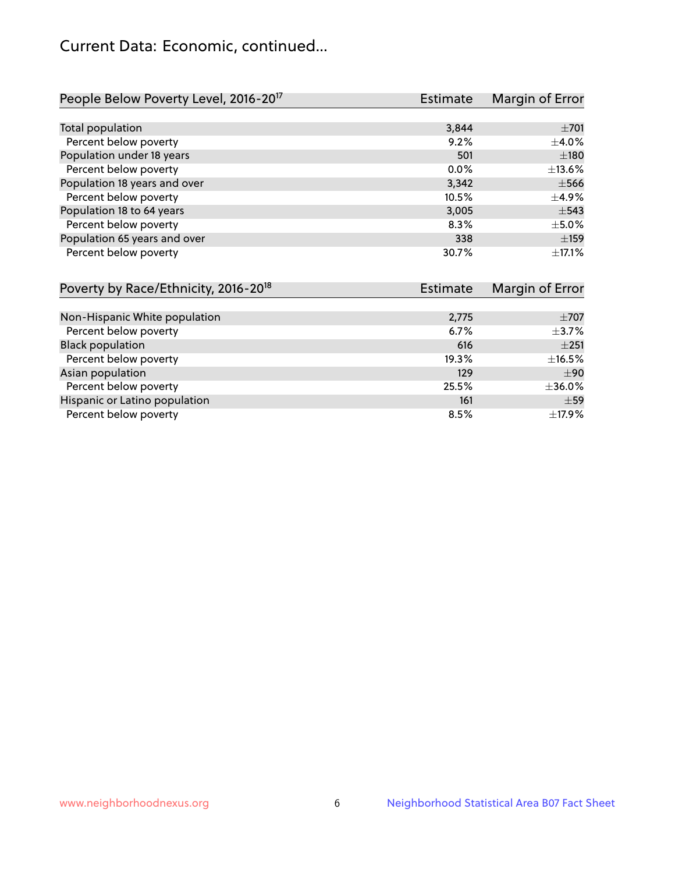## Current Data: Economic, continued...

| People Below Poverty Level, 2016-20 <sup>17</sup> | <b>Estimate</b> | Margin of Error |
|---------------------------------------------------|-----------------|-----------------|
|                                                   |                 |                 |
| Total population                                  | 3,844           | $\pm 701$       |
| Percent below poverty                             | 9.2%            | $\pm$ 4.0%      |
| Population under 18 years                         | 501             | ±180            |
| Percent below poverty                             | $0.0\%$         | ±13.6%          |
| Population 18 years and over                      | 3,342           | $\pm$ 566       |
| Percent below poverty                             | 10.5%           | $\pm$ 4.9%      |
| Population 18 to 64 years                         | 3,005           | $\pm$ 543       |
| Percent below poverty                             | 8.3%            | $\pm$ 5.0%      |
| Population 65 years and over                      | 338             | $\pm$ 159       |
| Percent below poverty                             | 30.7%           | $\pm$ 17.1%     |

| Poverty by Race/Ethnicity, 2016-20 <sup>18</sup> | <b>Estimate</b> |            |
|--------------------------------------------------|-----------------|------------|
|                                                  |                 |            |
| Non-Hispanic White population                    | 2,775           | $\pm$ 707  |
| Percent below poverty                            | 6.7%            | $\pm$ 3.7% |
| <b>Black population</b>                          | 616             | ±251       |
| Percent below poverty                            | 19.3%           | ±16.5%     |
| Asian population                                 | 129             | ±90        |
| Percent below poverty                            | 25.5%           | ±36.0%     |
| Hispanic or Latino population                    | 161             | ±59        |
| Percent below poverty                            | 8.5%            | ±17.9%     |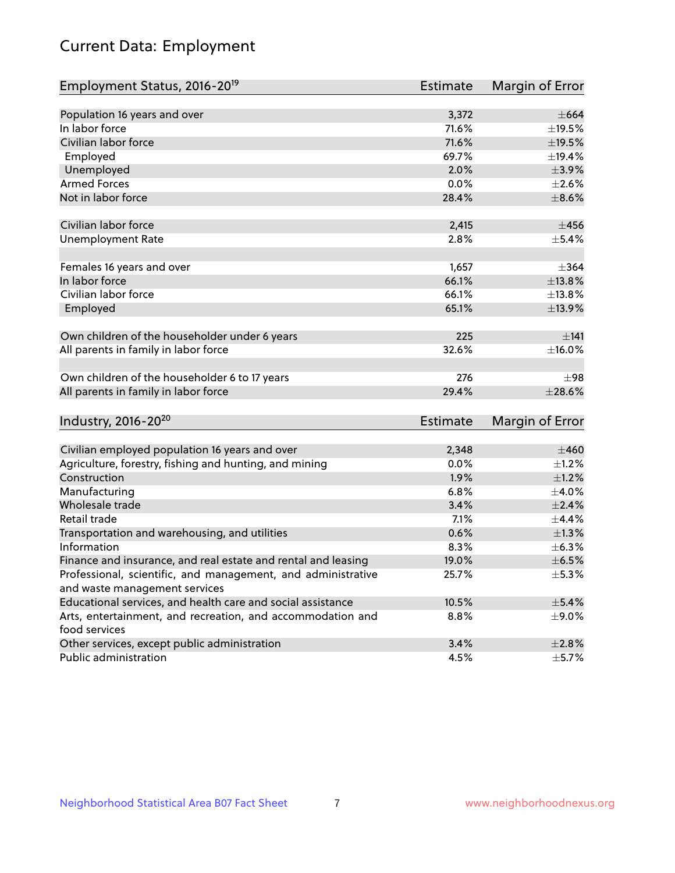# Current Data: Employment

| Employment Status, 2016-20 <sup>19</sup>                      | <b>Estimate</b> | Margin of Error |
|---------------------------------------------------------------|-----------------|-----------------|
|                                                               |                 |                 |
| Population 16 years and over                                  | 3,372           | $\pm$ 664       |
| In labor force                                                | 71.6%           | ±19.5%          |
| Civilian labor force                                          | 71.6%           | $\pm$ 19.5%     |
| Employed                                                      | 69.7%           | ±19.4%          |
| Unemployed                                                    | 2.0%            | $\pm$ 3.9%      |
| <b>Armed Forces</b>                                           | 0.0%            | $\pm 2.6\%$     |
| Not in labor force                                            | 28.4%           | $\pm$ 8.6%      |
|                                                               |                 |                 |
| Civilian labor force                                          | 2,415           | ±456            |
| <b>Unemployment Rate</b>                                      | 2.8%            | $\pm$ 5.4%      |
|                                                               |                 |                 |
| Females 16 years and over                                     | 1,657           | $\pm$ 364       |
| In labor force                                                | 66.1%           | ±13.8%          |
| Civilian labor force                                          | 66.1%           | ±13.8%          |
| Employed                                                      | 65.1%           | ±13.9%          |
|                                                               |                 |                 |
| Own children of the householder under 6 years                 | 225             | ±141            |
| All parents in family in labor force                          | 32.6%           | ±16.0%          |
|                                                               |                 |                 |
| Own children of the householder 6 to 17 years                 | 276             | $\pm$ 98        |
| All parents in family in labor force                          | 29.4%           | $\pm 28.6\%$    |
|                                                               |                 |                 |
| Industry, 2016-20 <sup>20</sup>                               | Estimate        | Margin of Error |
|                                                               |                 |                 |
| Civilian employed population 16 years and over                | 2,348           | $\pm 460$       |
| Agriculture, forestry, fishing and hunting, and mining        | 0.0%            | $\pm$ 1.2%      |
| Construction                                                  | 1.9%            | $\pm 1.2\%$     |
| Manufacturing                                                 | 6.8%            | $\pm$ 4.0%      |
| Wholesale trade                                               | 3.4%            | $\pm 2.4\%$     |
| Retail trade                                                  | 7.1%            | ±4.4%           |
| Transportation and warehousing, and utilities                 | 0.6%            | ±1.3%           |
| Information                                                   | 8.3%            | $\pm$ 6.3%      |
| Finance and insurance, and real estate and rental and leasing | 19.0%           | $\pm$ 6.5%      |
| Professional, scientific, and management, and administrative  | 25.7%           | $\pm$ 5.3%      |
| and waste management services                                 |                 |                 |
| Educational services, and health care and social assistance   | 10.5%           | $\pm$ 5.4%      |
| Arts, entertainment, and recreation, and accommodation and    | 8.8%            | $\pm$ 9.0%      |
| food services                                                 |                 |                 |
| Other services, except public administration                  | 3.4%            | $\pm 2.8\%$     |
| Public administration                                         | 4.5%            | $\pm$ 5.7%      |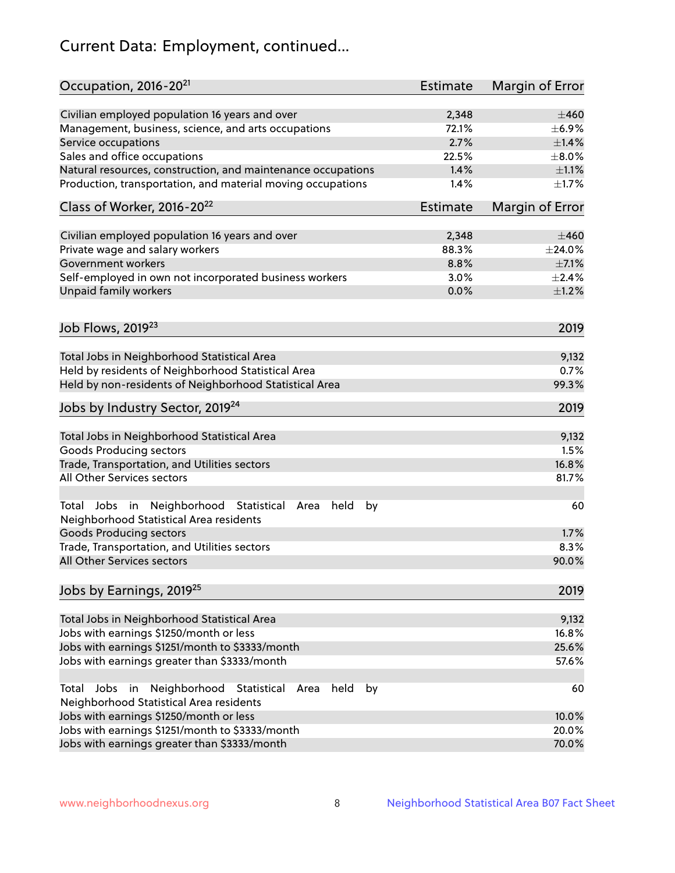# Current Data: Employment, continued...

| Occupation, 2016-20 <sup>21</sup>                                                                                | Estimate | Margin of Error |
|------------------------------------------------------------------------------------------------------------------|----------|-----------------|
| Civilian employed population 16 years and over                                                                   | 2,348    | $\pm 460$       |
| Management, business, science, and arts occupations                                                              | 72.1%    | $\pm$ 6.9%      |
| Service occupations                                                                                              | 2.7%     | $\pm$ 1.4%      |
| Sales and office occupations                                                                                     | 22.5%    | $\pm$ 8.0%      |
| Natural resources, construction, and maintenance occupations                                                     | 1.4%     | $\pm 1.1\%$     |
| Production, transportation, and material moving occupations                                                      | 1.4%     | $\pm 1.7\%$     |
| Class of Worker, 2016-20 <sup>22</sup>                                                                           | Estimate | Margin of Error |
| Civilian employed population 16 years and over                                                                   | 2,348    | $\pm 460$       |
| Private wage and salary workers                                                                                  | 88.3%    | ±24.0%          |
| Government workers                                                                                               | 8.8%     | $\pm$ 7.1%      |
| Self-employed in own not incorporated business workers                                                           | 3.0%     | $\pm 2.4\%$     |
| Unpaid family workers                                                                                            | 0.0%     | $\pm$ 1.2%      |
|                                                                                                                  |          |                 |
| Job Flows, 2019 <sup>23</sup>                                                                                    |          | 2019            |
| Total Jobs in Neighborhood Statistical Area                                                                      |          | 9,132           |
| Held by residents of Neighborhood Statistical Area                                                               |          | 0.7%            |
| Held by non-residents of Neighborhood Statistical Area                                                           |          | 99.3%           |
| Jobs by Industry Sector, 2019 <sup>24</sup>                                                                      |          | 2019            |
| Total Jobs in Neighborhood Statistical Area                                                                      |          | 9,132           |
| <b>Goods Producing sectors</b>                                                                                   |          | 1.5%            |
| Trade, Transportation, and Utilities sectors                                                                     |          | 16.8%           |
| All Other Services sectors                                                                                       |          | 81.7%           |
| Total Jobs in Neighborhood Statistical<br>held<br>by<br>Area<br>Neighborhood Statistical Area residents          |          | 60              |
| <b>Goods Producing sectors</b>                                                                                   |          | 1.7%            |
| Trade, Transportation, and Utilities sectors                                                                     |          | 8.3%            |
| All Other Services sectors                                                                                       |          | 90.0%           |
| Jobs by Earnings, 2019 <sup>25</sup>                                                                             |          | 2019            |
| Total Jobs in Neighborhood Statistical Area                                                                      |          | 9,132           |
| Jobs with earnings \$1250/month or less                                                                          |          | 16.8%           |
| Jobs with earnings \$1251/month to \$3333/month                                                                  |          | 25.6%           |
| Jobs with earnings greater than \$3333/month                                                                     |          | 57.6%           |
| Neighborhood Statistical<br>Jobs<br>in<br>held<br>by<br>Total<br>Area<br>Neighborhood Statistical Area residents |          | 60              |
| Jobs with earnings \$1250/month or less                                                                          |          | 10.0%           |
| Jobs with earnings \$1251/month to \$3333/month                                                                  |          | 20.0%           |
| Jobs with earnings greater than \$3333/month                                                                     |          | 70.0%           |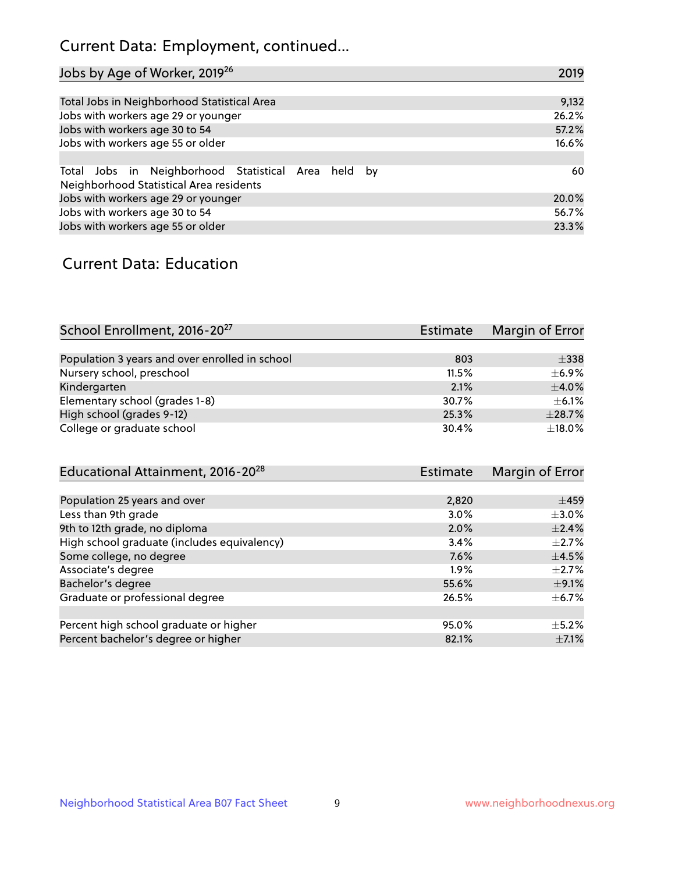## Current Data: Employment, continued...

| Jobs by Age of Worker, 2019 <sup>26</sup>                                                      | 2019  |
|------------------------------------------------------------------------------------------------|-------|
|                                                                                                |       |
| Total Jobs in Neighborhood Statistical Area                                                    | 9,132 |
| Jobs with workers age 29 or younger                                                            | 26.2% |
| Jobs with workers age 30 to 54                                                                 | 57.2% |
| Jobs with workers age 55 or older                                                              | 16.6% |
|                                                                                                |       |
| Total Jobs in Neighborhood Statistical Area held by<br>Neighborhood Statistical Area residents | 60    |
| Jobs with workers age 29 or younger                                                            | 20.0% |
| Jobs with workers age 30 to 54                                                                 | 56.7% |
| Jobs with workers age 55 or older                                                              | 23.3% |

### Current Data: Education

| School Enrollment, 2016-20 <sup>27</sup>       | Estimate | Margin of Error |
|------------------------------------------------|----------|-----------------|
|                                                |          |                 |
| Population 3 years and over enrolled in school | 803      | $\pm$ 338       |
| Nursery school, preschool                      | 11.5%    | $\pm$ 6.9%      |
| Kindergarten                                   | 2.1%     | $\pm$ 4.0%      |
| Elementary school (grades 1-8)                 | 30.7%    | $\pm$ 6.1%      |
| High school (grades 9-12)                      | 25.3%    | ±28.7%          |
| College or graduate school                     | 30.4%    | ±18.0%          |

| Educational Attainment, 2016-20 <sup>28</sup> | <b>Estimate</b> | Margin of Error |
|-----------------------------------------------|-----------------|-----------------|
|                                               |                 |                 |
| Population 25 years and over                  | 2,820           | $\pm$ 459       |
| Less than 9th grade                           | 3.0%            | $\pm$ 3.0%      |
| 9th to 12th grade, no diploma                 | 2.0%            | $\pm$ 2.4%      |
| High school graduate (includes equivalency)   | 3.4%            | $\pm 2.7\%$     |
| Some college, no degree                       | 7.6%            | $\pm$ 4.5%      |
| Associate's degree                            | 1.9%            | $\pm 2.7\%$     |
| Bachelor's degree                             | 55.6%           | $\pm$ 9.1%      |
| Graduate or professional degree               | 26.5%           | $\pm$ 6.7%      |
|                                               |                 |                 |
| Percent high school graduate or higher        | 95.0%           | $\pm$ 5.2%      |
| Percent bachelor's degree or higher           | 82.1%           | $\pm$ 7.1%      |
|                                               |                 |                 |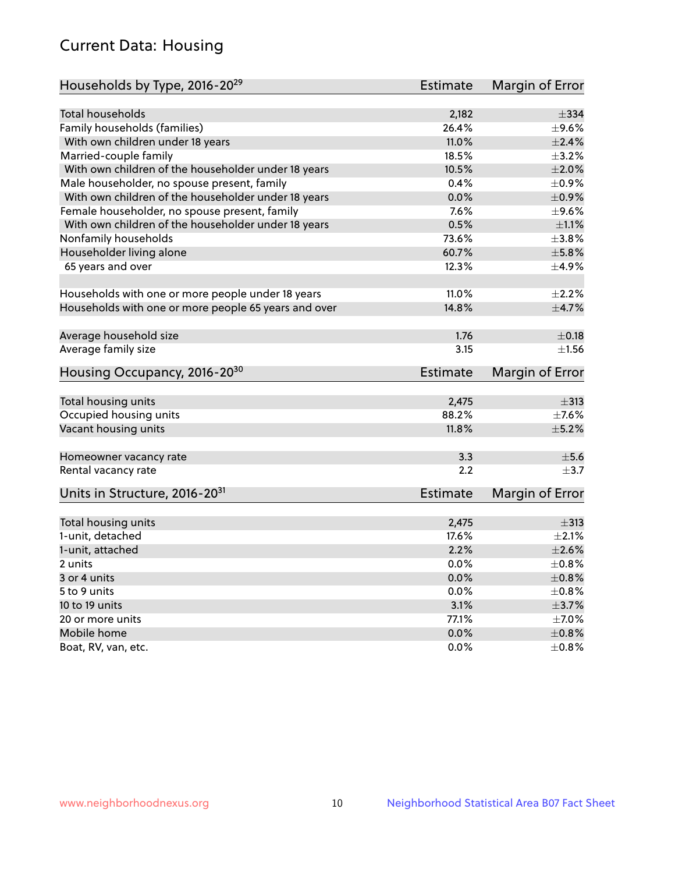## Current Data: Housing

| Households by Type, 2016-20 <sup>29</sup>            | <b>Estimate</b> | Margin of Error |
|------------------------------------------------------|-----------------|-----------------|
|                                                      |                 |                 |
| Total households                                     | 2,182           | $\pm$ 334       |
| Family households (families)                         | 26.4%           | $\pm$ 9.6%      |
| With own children under 18 years                     | 11.0%           | $\pm 2.4\%$     |
| Married-couple family                                | 18.5%           | $\pm$ 3.2%      |
| With own children of the householder under 18 years  | 10.5%           | $\pm 2.0\%$     |
| Male householder, no spouse present, family          | 0.4%            | $\pm$ 0.9%      |
| With own children of the householder under 18 years  | 0.0%            | $\pm$ 0.9%      |
| Female householder, no spouse present, family        | 7.6%            | $\pm$ 9.6%      |
| With own children of the householder under 18 years  | 0.5%            | $\pm 1.1\%$     |
| Nonfamily households                                 | 73.6%           | $\pm 3.8\%$     |
| Householder living alone                             | 60.7%           | ±5.8%           |
| 65 years and over                                    | 12.3%           | $\pm$ 4.9%      |
|                                                      |                 |                 |
| Households with one or more people under 18 years    | 11.0%           | $\pm 2.2\%$     |
| Households with one or more people 65 years and over | 14.8%           | $\pm$ 4.7%      |
|                                                      |                 |                 |
| Average household size                               | 1.76            | $\pm$ 0.18      |
| Average family size                                  | 3.15            | $\pm 1.56$      |
| Housing Occupancy, 2016-20 <sup>30</sup>             | <b>Estimate</b> | Margin of Error |
|                                                      |                 |                 |
| Total housing units                                  | 2,475           | $\pm$ 313       |
| Occupied housing units                               | 88.2%           | $\pm$ 7.6%      |
| Vacant housing units                                 | 11.8%           | $\pm$ 5.2%      |
| Homeowner vacancy rate                               | 3.3             | $\pm$ 5.6       |
| Rental vacancy rate                                  | 2.2             | $+3.7$          |
| Units in Structure, 2016-20 <sup>31</sup>            | Estimate        | Margin of Error |
|                                                      |                 |                 |
| Total housing units                                  | 2,475           | $\pm$ 313       |
| 1-unit, detached                                     | 17.6%           | $\pm 2.1\%$     |
| 1-unit, attached                                     | 2.2%            | $\pm 2.6\%$     |
| 2 units                                              | 0.0%            | $\pm 0.8\%$     |
|                                                      |                 | $\pm$ 0.8%      |
| 3 or 4 units                                         | 0.0%            |                 |
| 5 to 9 units                                         | 0.0%            | $\pm$ 0.8%      |
| 10 to 19 units                                       | 3.1%            | $\pm$ 3.7%      |
| 20 or more units                                     | 77.1%           | $\pm$ 7.0%      |
| Mobile home                                          | 0.0%            | $\pm$ 0.8%      |
| Boat, RV, van, etc.                                  | $0.0\%$         | $\pm$ 0.8%      |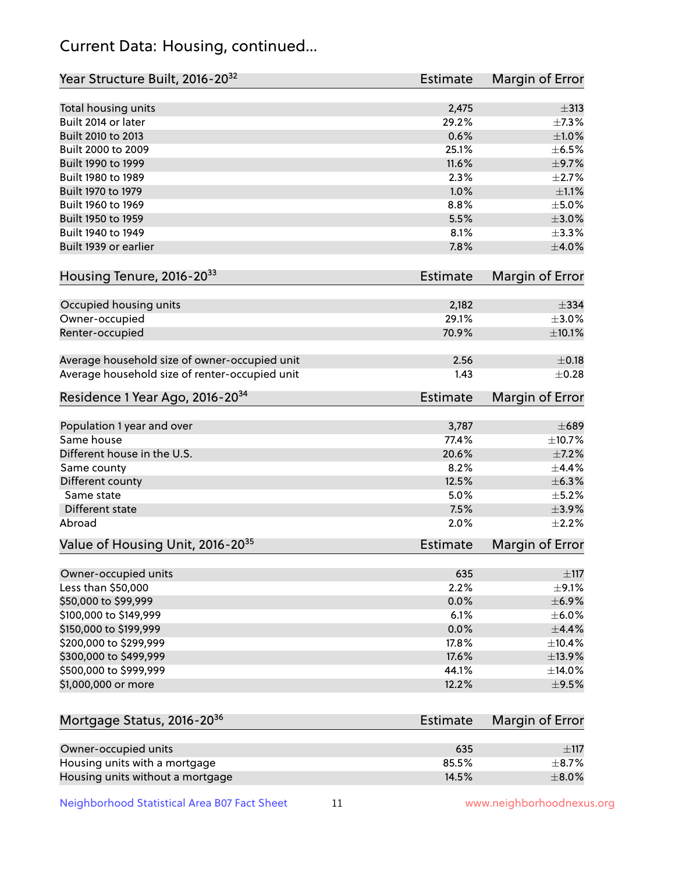## Current Data: Housing, continued...

| Total housing units<br>Built 2014 or later<br>Built 2010 to 2013<br>Built 2000 to 2009<br>Built 1990 to 1999<br>Built 1980 to 1989<br>Built 1970 to 1979<br>Built 1960 to 1969 | 2,475<br>29.2%<br>0.6%<br>25.1%<br>11.6%<br>2.3%<br>1.0%<br>8.8%<br>5.5%<br>8.1%<br>7.8%<br><b>Estimate</b><br>2,182 | $\pm$ 313<br>$\pm$ 9.7%                                                                                                                      |
|--------------------------------------------------------------------------------------------------------------------------------------------------------------------------------|----------------------------------------------------------------------------------------------------------------------|----------------------------------------------------------------------------------------------------------------------------------------------|
|                                                                                                                                                                                |                                                                                                                      | ±7.3%<br>$\pm1.0\%$<br>$\pm$ 6.5%<br>$\pm 2.7\%$<br>$\pm 1.1\%$<br>$\pm$ 5.0%<br>$\pm 3.0\%$<br>$\pm$ 3.3%<br>$\pm 4.0\%$<br>Margin of Error |
|                                                                                                                                                                                |                                                                                                                      |                                                                                                                                              |
|                                                                                                                                                                                |                                                                                                                      |                                                                                                                                              |
|                                                                                                                                                                                |                                                                                                                      |                                                                                                                                              |
|                                                                                                                                                                                |                                                                                                                      |                                                                                                                                              |
|                                                                                                                                                                                |                                                                                                                      |                                                                                                                                              |
|                                                                                                                                                                                |                                                                                                                      |                                                                                                                                              |
|                                                                                                                                                                                |                                                                                                                      |                                                                                                                                              |
| Built 1950 to 1959                                                                                                                                                             |                                                                                                                      |                                                                                                                                              |
| Built 1940 to 1949                                                                                                                                                             |                                                                                                                      |                                                                                                                                              |
| Built 1939 or earlier                                                                                                                                                          |                                                                                                                      |                                                                                                                                              |
| Housing Tenure, 2016-2033                                                                                                                                                      |                                                                                                                      |                                                                                                                                              |
| Occupied housing units                                                                                                                                                         |                                                                                                                      | $\pm$ 334                                                                                                                                    |
| Owner-occupied                                                                                                                                                                 | 29.1%                                                                                                                | $\pm 3.0\%$                                                                                                                                  |
| Renter-occupied                                                                                                                                                                | 70.9%                                                                                                                | ±10.1%                                                                                                                                       |
| Average household size of owner-occupied unit                                                                                                                                  | 2.56                                                                                                                 | $\pm$ 0.18                                                                                                                                   |
| Average household size of renter-occupied unit                                                                                                                                 | 1.43                                                                                                                 | $\pm$ 0.28                                                                                                                                   |
| Residence 1 Year Ago, 2016-20 <sup>34</sup>                                                                                                                                    | Estimate                                                                                                             | Margin of Error                                                                                                                              |
| Population 1 year and over                                                                                                                                                     | 3,787                                                                                                                | $\pm 689$                                                                                                                                    |
| Same house                                                                                                                                                                     | 77.4%                                                                                                                | ±10.7%                                                                                                                                       |
| Different house in the U.S.                                                                                                                                                    | 20.6%                                                                                                                | $\pm$ 7.2%                                                                                                                                   |
| Same county                                                                                                                                                                    | 8.2%                                                                                                                 | $\pm$ 4.4%                                                                                                                                   |
| Different county                                                                                                                                                               | 12.5%                                                                                                                | ±6.3%                                                                                                                                        |
| Same state                                                                                                                                                                     | 5.0%                                                                                                                 | $\pm$ 5.2%                                                                                                                                   |
| Different state                                                                                                                                                                | 7.5%                                                                                                                 | $\pm$ 3.9%                                                                                                                                   |
| Abroad                                                                                                                                                                         | 2.0%                                                                                                                 | $\pm 2.2\%$                                                                                                                                  |
| Value of Housing Unit, 2016-20 <sup>35</sup>                                                                                                                                   | Estimate                                                                                                             | Margin of Error                                                                                                                              |
| Owner-occupied units                                                                                                                                                           | 635                                                                                                                  | ±117                                                                                                                                         |
| Less than \$50,000                                                                                                                                                             | 2.2%                                                                                                                 | $\pm$ 9.1%                                                                                                                                   |
| \$50,000 to \$99,999                                                                                                                                                           | 0.0%                                                                                                                 | $\pm$ 6.9%                                                                                                                                   |
| \$100,000 to \$149,999                                                                                                                                                         | 6.1%                                                                                                                 | $\pm$ 6.0%                                                                                                                                   |
| \$150,000 to \$199,999                                                                                                                                                         | 0.0%                                                                                                                 | $\pm$ 4.4%                                                                                                                                   |
| \$200,000 to \$299,999                                                                                                                                                         | 17.8%                                                                                                                | $\pm$ 10.4%                                                                                                                                  |
| \$300,000 to \$499,999                                                                                                                                                         | 17.6%                                                                                                                | ±13.9%                                                                                                                                       |
| \$500,000 to \$999,999                                                                                                                                                         | 44.1%                                                                                                                | ±14.0%                                                                                                                                       |
| \$1,000,000 or more                                                                                                                                                            | 12.2%                                                                                                                | $\pm$ 9.5%                                                                                                                                   |
| Mortgage Status, 2016-20 <sup>36</sup>                                                                                                                                         | Estimate                                                                                                             | <b>Margin of Error</b>                                                                                                                       |
| Owner-occupied units                                                                                                                                                           | 635                                                                                                                  | $\pm$ 117                                                                                                                                    |
| Housing units with a mortgage                                                                                                                                                  | 85.5%                                                                                                                | $\pm$ 8.7%                                                                                                                                   |

Neighborhood Statistical Area B07 Fact Sheet 11 11 www.neighborhoodnexus.org

Housing units without a mortgage  $\pm 8.0\%$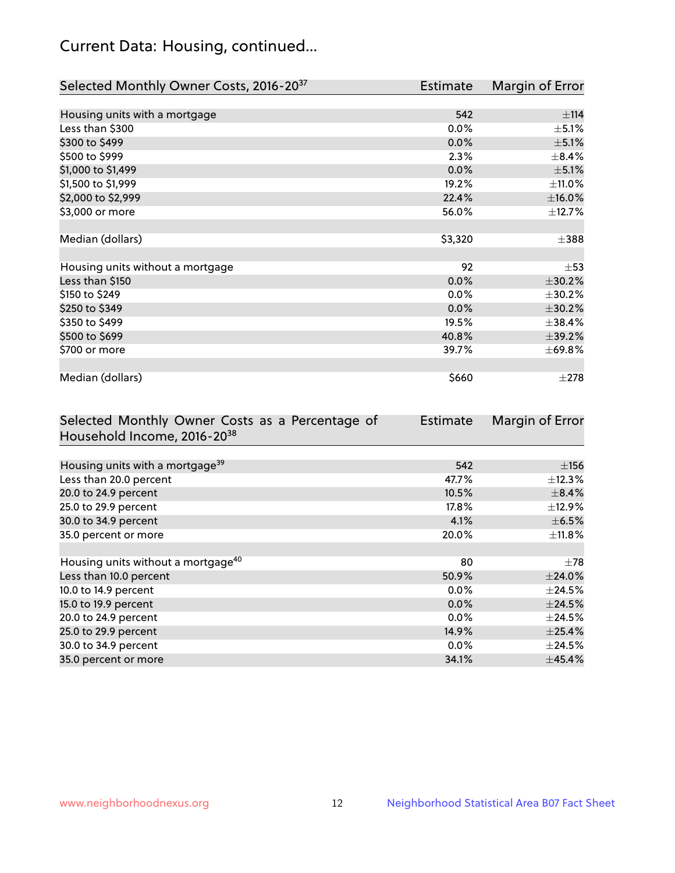## Current Data: Housing, continued...

| Selected Monthly Owner Costs, 2016-20 <sup>37</sup> | <b>Estimate</b> | Margin of Error |
|-----------------------------------------------------|-----------------|-----------------|
|                                                     |                 |                 |
| Housing units with a mortgage                       | 542             | ±114            |
| Less than \$300                                     | 0.0%            | $\pm$ 5.1%      |
| \$300 to \$499                                      | 0.0%            | $\pm$ 5.1%      |
| \$500 to \$999                                      | 2.3%            | $\pm$ 8.4%      |
| \$1,000 to \$1,499                                  | 0.0%            | $\pm$ 5.1%      |
| \$1,500 to \$1,999                                  | 19.2%           | $\pm$ 11.0%     |
| \$2,000 to \$2,999                                  | 22.4%           | $\pm$ 16.0%     |
| \$3,000 or more                                     | 56.0%           | ±12.7%          |
|                                                     |                 |                 |
| Median (dollars)                                    | \$3,320         | $\pm$ 388       |
|                                                     |                 |                 |
| Housing units without a mortgage                    | 92              | $\pm$ 53        |
| Less than \$150                                     | 0.0%            | ±30.2%          |
| \$150 to \$249                                      | 0.0%            | ±30.2%          |
| \$250 to \$349                                      | 0.0%            | ±30.2%          |
| \$350 to \$499                                      | 19.5%           | ±38.4%          |
| \$500 to \$699                                      | 40.8%           | $\pm$ 39.2%     |
| \$700 or more                                       | 39.7%           | ±69.8%          |
|                                                     |                 |                 |
| Median (dollars)                                    | \$660           | $\pm 278$       |

| Selected Monthly Owner Costs as a Percentage of | Estimate | Margin of Error |
|-------------------------------------------------|----------|-----------------|
| Household Income, 2016-20 <sup>38</sup>         |          |                 |
|                                                 |          |                 |
| Housing units with a mortgage <sup>39</sup>     | 542      | $\pm$ 156       |
| Less than 20.0 percent                          | 47.7%    | $\pm$ 12.3%     |
| 20.0 to 24.9 percent                            | 10.5%    | $\pm$ 8.4%      |
| 25.0 to 29.9 percent                            | 17.8%    | $\pm$ 12.9%     |
| 30.0 to 34.9 percent                            | 4.1%     | $\pm$ 6.5%      |
| 35.0 percent or more                            | 20.0%    | $\pm$ 11.8%     |
|                                                 |          |                 |
| Housing units without a mortgage <sup>40</sup>  | 80       | $\pm 78$        |
| Less than 10.0 percent                          | 50.9%    | $±$ 24.0%       |
| 10.0 to 14.9 percent                            | $0.0\%$  | $\pm$ 24.5%     |
| 15.0 to 19.9 percent                            | 0.0%     | $\pm$ 24.5%     |
| 20.0 to 24.9 percent                            | $0.0\%$  | $\pm$ 24.5%     |
| 25.0 to 29.9 percent                            | 14.9%    | $\pm$ 25.4%     |
| 30.0 to 34.9 percent                            | $0.0\%$  | $\pm$ 24.5%     |
| 35.0 percent or more                            | 34.1%    | ±45.4%          |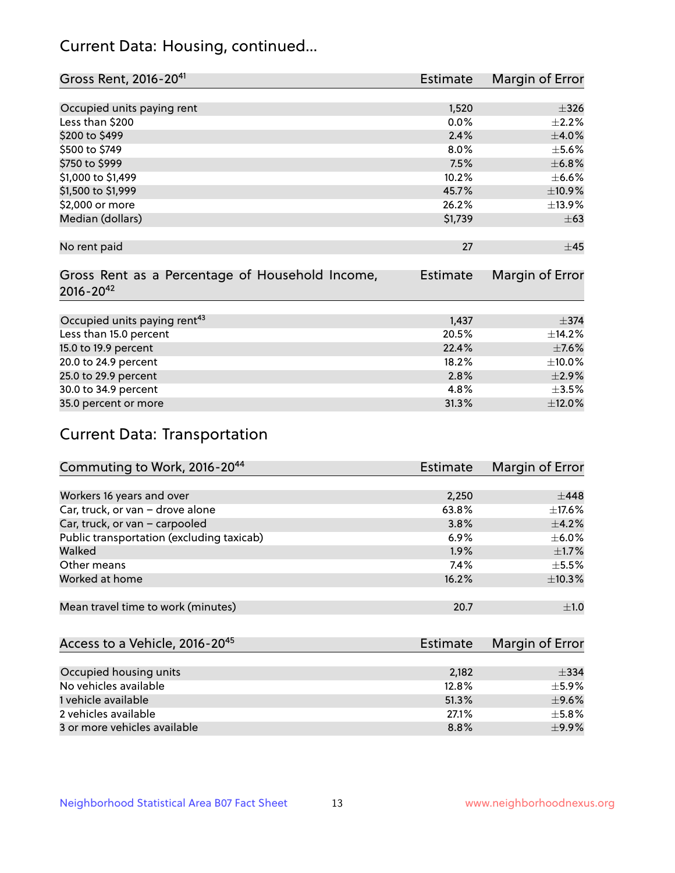## Current Data: Housing, continued...

| Gross Rent, 2016-20 <sup>41</sup>               | <b>Estimate</b> | Margin of Error |
|-------------------------------------------------|-----------------|-----------------|
|                                                 |                 |                 |
| Occupied units paying rent                      | 1,520           | $\pm$ 326       |
| Less than \$200                                 | 0.0%            | $\pm 2.2\%$     |
| \$200 to \$499                                  | 2.4%            | $\pm 4.0\%$     |
| \$500 to \$749                                  | 8.0%            | $\pm$ 5.6%      |
| \$750 to \$999                                  | 7.5%            | ±6.8%           |
| \$1,000 to \$1,499                              | 10.2%           | $\pm$ 6.6%      |
| \$1,500 to \$1,999                              | 45.7%           | ±10.9%          |
| \$2,000 or more                                 | 26.2%           | ±13.9%          |
| Median (dollars)                                | \$1,739         | $\pm 63$        |
|                                                 |                 |                 |
| No rent paid                                    | 27              | $\pm$ 45        |
|                                                 |                 |                 |
| Gross Rent as a Percentage of Household Income, | <b>Estimate</b> | Margin of Error |
| $2016 - 20^{42}$                                |                 |                 |
|                                                 |                 |                 |
| Occupied units paying rent <sup>43</sup>        | 1,437           | $\pm$ 374       |
| Less than 15.0 percent                          | 20.5%           | ±14.2%          |
| 15.0 to 19.9 percent                            | 22.4%           | $\pm$ 7.6%      |
| 20.0 to 24.9 percent                            | 18.2%           | $\pm$ 10.0%     |
| 25.0 to 29.9 percent                            | 2.8%            | $\pm$ 2.9%      |
| 30.0 to 34.9 percent                            | 4.8%            | $\pm 3.5\%$     |
| 35.0 percent or more                            | 31.3%           | $\pm$ 12.0%     |

# Current Data: Transportation

| Commuting to Work, 2016-20 <sup>44</sup>  | <b>Estimate</b> | Margin of Error |
|-------------------------------------------|-----------------|-----------------|
|                                           |                 |                 |
| Workers 16 years and over                 | 2,250           | $\pm$ 448       |
| Car, truck, or van - drove alone          | 63.8%           | $\pm$ 17.6%     |
| Car, truck, or van - carpooled            | 3.8%            | $\pm$ 4.2%      |
| Public transportation (excluding taxicab) | $6.9\%$         | $\pm$ 6.0%      |
| Walked                                    | 1.9%            | $\pm$ 1.7%      |
| Other means                               | 7.4%            | $\pm$ 5.5%      |
| Worked at home                            | 16.2%           | $\pm$ 10.3%     |
|                                           |                 |                 |
| Mean travel time to work (minutes)        | 20.7            | $\pm 1.0$       |

| Access to a Vehicle, 2016-20 <sup>45</sup> | Estimate | <b>Margin of Error</b> |
|--------------------------------------------|----------|------------------------|
|                                            |          |                        |
| Occupied housing units                     | 2.182    | $\pm$ 334              |
| No vehicles available                      | 12.8%    | $+5.9%$                |
| 1 vehicle available                        | 51.3%    | $\pm$ 9.6%             |
| 2 vehicles available                       | 27.1%    | $\pm$ 5.8%             |
| 3 or more vehicles available               | 8.8%     | $+9.9%$                |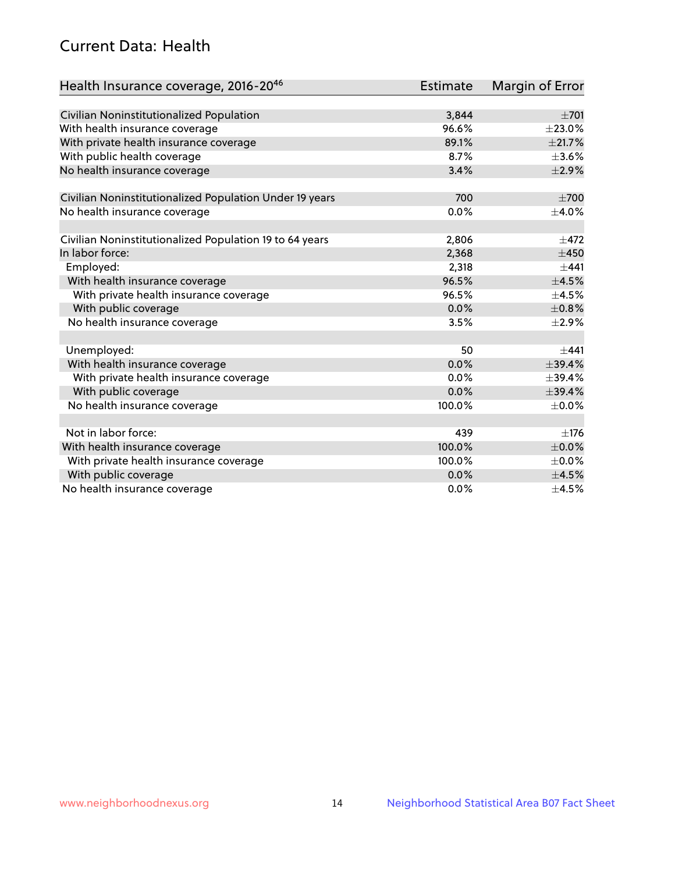## Current Data: Health

| Health Insurance coverage, 2016-2046                    | <b>Estimate</b> | <b>Margin of Error</b> |
|---------------------------------------------------------|-----------------|------------------------|
|                                                         |                 |                        |
| Civilian Noninstitutionalized Population                | 3,844           | $\pm 701$              |
| With health insurance coverage                          | 96.6%           | $\pm 23.0\%$           |
| With private health insurance coverage                  | 89.1%           | $\pm 21.7\%$           |
| With public health coverage                             | 8.7%            | $\pm 3.6\%$            |
| No health insurance coverage                            | 3.4%            | $\pm 2.9\%$            |
| Civilian Noninstitutionalized Population Under 19 years | 700             | $\pm 700$              |
| No health insurance coverage                            | 0.0%            | $\pm$ 4.0%             |
|                                                         |                 |                        |
| Civilian Noninstitutionalized Population 19 to 64 years | 2,806           | $\pm$ 472              |
| In labor force:                                         | 2,368           | $\pm 450$              |
| Employed:                                               | 2,318           | $+441$                 |
| With health insurance coverage                          | 96.5%           | $\pm 4.5\%$            |
| With private health insurance coverage                  | 96.5%           | $\pm$ 4.5%             |
| With public coverage                                    | 0.0%            | ±0.8%                  |
| No health insurance coverage                            | 3.5%            | $\pm 2.9\%$            |
| Unemployed:                                             | 50              | $+441$                 |
| With health insurance coverage                          | 0.0%            | ±39.4%                 |
| With private health insurance coverage                  | 0.0%            | ±39.4%                 |
| With public coverage                                    | 0.0%            | ±39.4%                 |
| No health insurance coverage                            | 100.0%          | $\pm$ 0.0%             |
|                                                         |                 |                        |
| Not in labor force:                                     | 439             | $\pm$ 176              |
| With health insurance coverage                          | 100.0%          | $\pm$ 0.0%             |
| With private health insurance coverage                  | 100.0%          | $\pm$ 0.0%             |
| With public coverage                                    | 0.0%            | $\pm$ 4.5%             |
| No health insurance coverage                            | $0.0\%$         | $\pm$ 4.5%             |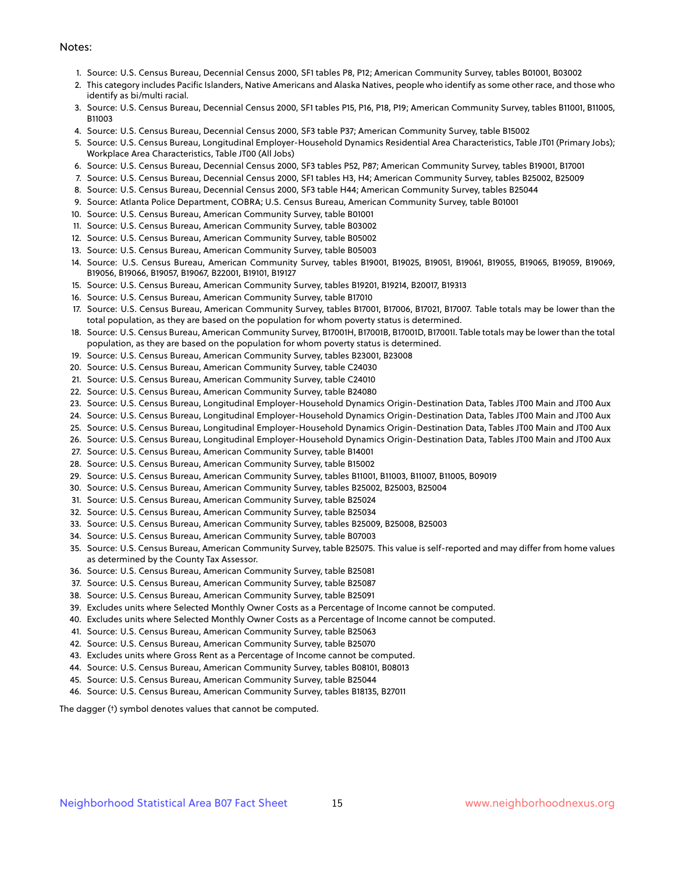#### Notes:

- 1. Source: U.S. Census Bureau, Decennial Census 2000, SF1 tables P8, P12; American Community Survey, tables B01001, B03002
- 2. This category includes Pacific Islanders, Native Americans and Alaska Natives, people who identify as some other race, and those who identify as bi/multi racial.
- 3. Source: U.S. Census Bureau, Decennial Census 2000, SF1 tables P15, P16, P18, P19; American Community Survey, tables B11001, B11005, B11003
- 4. Source: U.S. Census Bureau, Decennial Census 2000, SF3 table P37; American Community Survey, table B15002
- 5. Source: U.S. Census Bureau, Longitudinal Employer-Household Dynamics Residential Area Characteristics, Table JT01 (Primary Jobs); Workplace Area Characteristics, Table JT00 (All Jobs)
- 6. Source: U.S. Census Bureau, Decennial Census 2000, SF3 tables P52, P87; American Community Survey, tables B19001, B17001
- 7. Source: U.S. Census Bureau, Decennial Census 2000, SF1 tables H3, H4; American Community Survey, tables B25002, B25009
- 8. Source: U.S. Census Bureau, Decennial Census 2000, SF3 table H44; American Community Survey, tables B25044
- 9. Source: Atlanta Police Department, COBRA; U.S. Census Bureau, American Community Survey, table B01001
- 10. Source: U.S. Census Bureau, American Community Survey, table B01001
- 11. Source: U.S. Census Bureau, American Community Survey, table B03002
- 12. Source: U.S. Census Bureau, American Community Survey, table B05002
- 13. Source: U.S. Census Bureau, American Community Survey, table B05003
- 14. Source: U.S. Census Bureau, American Community Survey, tables B19001, B19025, B19051, B19061, B19055, B19065, B19059, B19069, B19056, B19066, B19057, B19067, B22001, B19101, B19127
- 15. Source: U.S. Census Bureau, American Community Survey, tables B19201, B19214, B20017, B19313
- 16. Source: U.S. Census Bureau, American Community Survey, table B17010
- 17. Source: U.S. Census Bureau, American Community Survey, tables B17001, B17006, B17021, B17007. Table totals may be lower than the total population, as they are based on the population for whom poverty status is determined.
- 18. Source: U.S. Census Bureau, American Community Survey, B17001H, B17001B, B17001D, B17001I. Table totals may be lower than the total population, as they are based on the population for whom poverty status is determined.
- 19. Source: U.S. Census Bureau, American Community Survey, tables B23001, B23008
- 20. Source: U.S. Census Bureau, American Community Survey, table C24030
- 21. Source: U.S. Census Bureau, American Community Survey, table C24010
- 22. Source: U.S. Census Bureau, American Community Survey, table B24080
- 23. Source: U.S. Census Bureau, Longitudinal Employer-Household Dynamics Origin-Destination Data, Tables JT00 Main and JT00 Aux
- 24. Source: U.S. Census Bureau, Longitudinal Employer-Household Dynamics Origin-Destination Data, Tables JT00 Main and JT00 Aux
- 25. Source: U.S. Census Bureau, Longitudinal Employer-Household Dynamics Origin-Destination Data, Tables JT00 Main and JT00 Aux
- 26. Source: U.S. Census Bureau, Longitudinal Employer-Household Dynamics Origin-Destination Data, Tables JT00 Main and JT00 Aux
- 27. Source: U.S. Census Bureau, American Community Survey, table B14001
- 28. Source: U.S. Census Bureau, American Community Survey, table B15002
- 29. Source: U.S. Census Bureau, American Community Survey, tables B11001, B11003, B11007, B11005, B09019
- 30. Source: U.S. Census Bureau, American Community Survey, tables B25002, B25003, B25004
- 31. Source: U.S. Census Bureau, American Community Survey, table B25024
- 32. Source: U.S. Census Bureau, American Community Survey, table B25034
- 33. Source: U.S. Census Bureau, American Community Survey, tables B25009, B25008, B25003
- 34. Source: U.S. Census Bureau, American Community Survey, table B07003
- 35. Source: U.S. Census Bureau, American Community Survey, table B25075. This value is self-reported and may differ from home values as determined by the County Tax Assessor.
- 36. Source: U.S. Census Bureau, American Community Survey, table B25081
- 37. Source: U.S. Census Bureau, American Community Survey, table B25087
- 38. Source: U.S. Census Bureau, American Community Survey, table B25091
- 39. Excludes units where Selected Monthly Owner Costs as a Percentage of Income cannot be computed.
- 40. Excludes units where Selected Monthly Owner Costs as a Percentage of Income cannot be computed.
- 41. Source: U.S. Census Bureau, American Community Survey, table B25063
- 42. Source: U.S. Census Bureau, American Community Survey, table B25070
- 43. Excludes units where Gross Rent as a Percentage of Income cannot be computed.
- 44. Source: U.S. Census Bureau, American Community Survey, tables B08101, B08013
- 45. Source: U.S. Census Bureau, American Community Survey, table B25044
- 46. Source: U.S. Census Bureau, American Community Survey, tables B18135, B27011

The dagger (†) symbol denotes values that cannot be computed.